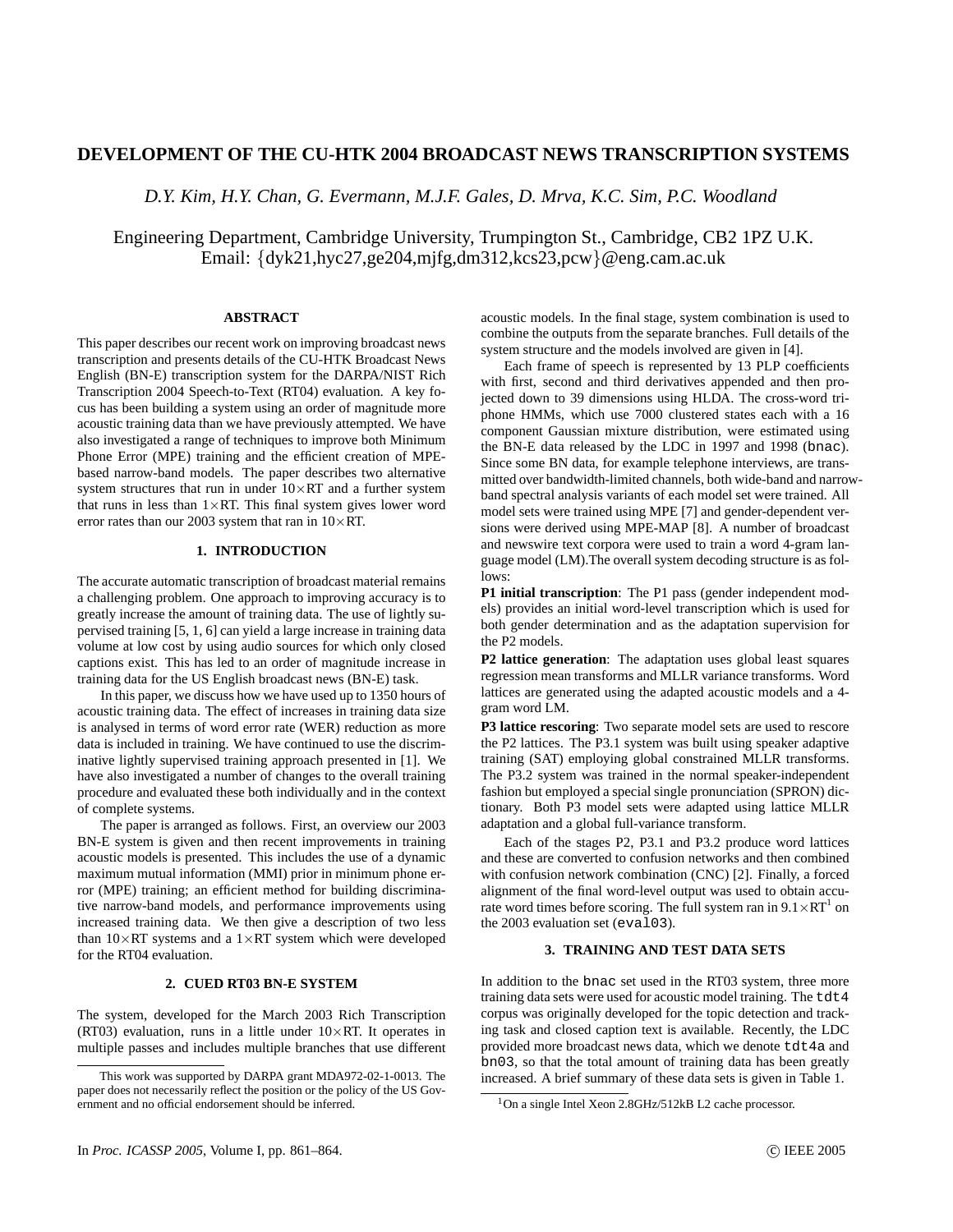# **DEVELOPMENT OF THE CU-HTK 2004 BROADCAST NEWS TRANSCRIPTION SYSTEMS**

*D.Y. Kim, H.Y. Chan, G. Evermann, M.J.F. Gales, D. Mrva, K.C. Sim, P.C. Woodland*

Engineering Department, Cambridge University, Trumpington St., Cambridge, CB2 1PZ U.K. Email: {dyk21,hyc27,ge204,mjfg,dm312,kcs23,pcw}@eng.cam.ac.uk

# **ABSTRACT**

This paper describes our recent work on improving broadcast news transcription and presents details of the CU-HTK Broadcast News English (BN-E) transcription system for the DARPA/NIST Rich Transcription 2004 Speech-to-Text (RT04) evaluation. A key focus has been building a system using an order of magnitude more acoustic training data than we have previously attempted. We have also investigated a range of techniques to improve both Minimum Phone Error (MPE) training and the efficient creation of MPEbased narrow-band models. The paper describes two alternative system structures that run in under  $10\times RT$  and a further system that runs in less than  $1 \times RT$ . This final system gives lower word error rates than our 2003 system that ran in  $10\times RT$ .

## **1. INTRODUCTION**

The accurate automatic transcription of broadcast material remains a challenging problem. One approach to improving accuracy is to greatly increase the amount of training data. The use of lightly supervised training [5, 1, 6] can yield a large increase in training data volume at low cost by using audio sources for which only closed captions exist. This has led to an order of magnitude increase in training data for the US English broadcast news (BN-E) task.

In this paper, we discuss how we have used up to 1350 hours of acoustic training data. The effect of increases in training data size is analysed in terms of word error rate (WER) reduction as more data is included in training. We have continued to use the discriminative lightly supervised training approach presented in [1]. We have also investigated a number of changes to the overall training procedure and evaluated these both individually and in the context of complete systems.

The paper is arranged as follows. First, an overview our 2003 BN-E system is given and then recent improvements in training acoustic models is presented. This includes the use of a dynamic maximum mutual information (MMI) prior in minimum phone error (MPE) training; an efficient method for building discriminative narrow-band models, and performance improvements using increased training data. We then give a description of two less than  $10\times RT$  systems and a  $1\times RT$  system which were developed for the RT04 evaluation.

## **2. CUED RT03 BN-E SYSTEM**

The system, developed for the March 2003 Rich Transcription (RT03) evaluation, runs in a little under  $10\times RT$ . It operates in multiple passes and includes multiple branches that use different

acoustic models. In the final stage, system combination is used to combine the outputs from the separate branches. Full details of the system structure and the models involved are given in [4].

Each frame of speech is represented by 13 PLP coefficients with first, second and third derivatives appended and then projected down to 39 dimensions using HLDA. The cross-word triphone HMMs, which use 7000 clustered states each with a 16 component Gaussian mixture distribution, were estimated using the BN-E data released by the LDC in 1997 and 1998 (bnac). Since some BN data, for example telephone interviews, are transmitted over bandwidth-limited channels, both wide-band and narrowband spectral analysis variants of each model set were trained. All model sets were trained using MPE [7] and gender-dependent versions were derived using MPE-MAP [8]. A number of broadcast and newswire text corpora were used to train a word 4-gram language model (LM).The overall system decoding structure is as follows:

**P1 initial transcription**: The P1 pass (gender independent models) provides an initial word-level transcription which is used for both gender determination and as the adaptation supervision for the P2 models.

**P2 lattice generation**: The adaptation uses global least squares regression mean transforms and MLLR variance transforms. Word lattices are generated using the adapted acoustic models and a 4 gram word LM.

**P3 lattice rescoring**: Two separate model sets are used to rescore the P2 lattices. The P3.1 system was built using speaker adaptive training (SAT) employing global constrained MLLR transforms. The P3.2 system was trained in the normal speaker-independent fashion but employed a special single pronunciation (SPRON) dictionary. Both P3 model sets were adapted using lattice MLLR adaptation and a global full-variance transform.

Each of the stages P2, P3.1 and P3.2 produce word lattices and these are converted to confusion networks and then combined with confusion network combination (CNC) [2]. Finally, a forced alignment of the final word-level output was used to obtain accurate word times before scoring. The full system ran in  $9.1 \times RT^1$  on the 2003 evaluation set (eval03).

# **3. TRAINING AND TEST DATA SETS**

In addition to the bnac set used in the RT03 system, three more training data sets were used for acoustic model training. The tdt4 corpus was originally developed for the topic detection and tracking task and closed caption text is available. Recently, the LDC provided more broadcast news data, which we denote tdt4a and bn03, so that the total amount of training data has been greatly increased. A brief summary of these data sets is given in Table 1.

This work was supported by DARPA grant MDA972-02-1-0013. The paper does not necessarily reflect the position or the policy of the US Government and no official endorsement should be inferred.

<sup>1</sup>On a single Intel Xeon 2.8GHz/512kB L2 cache processor.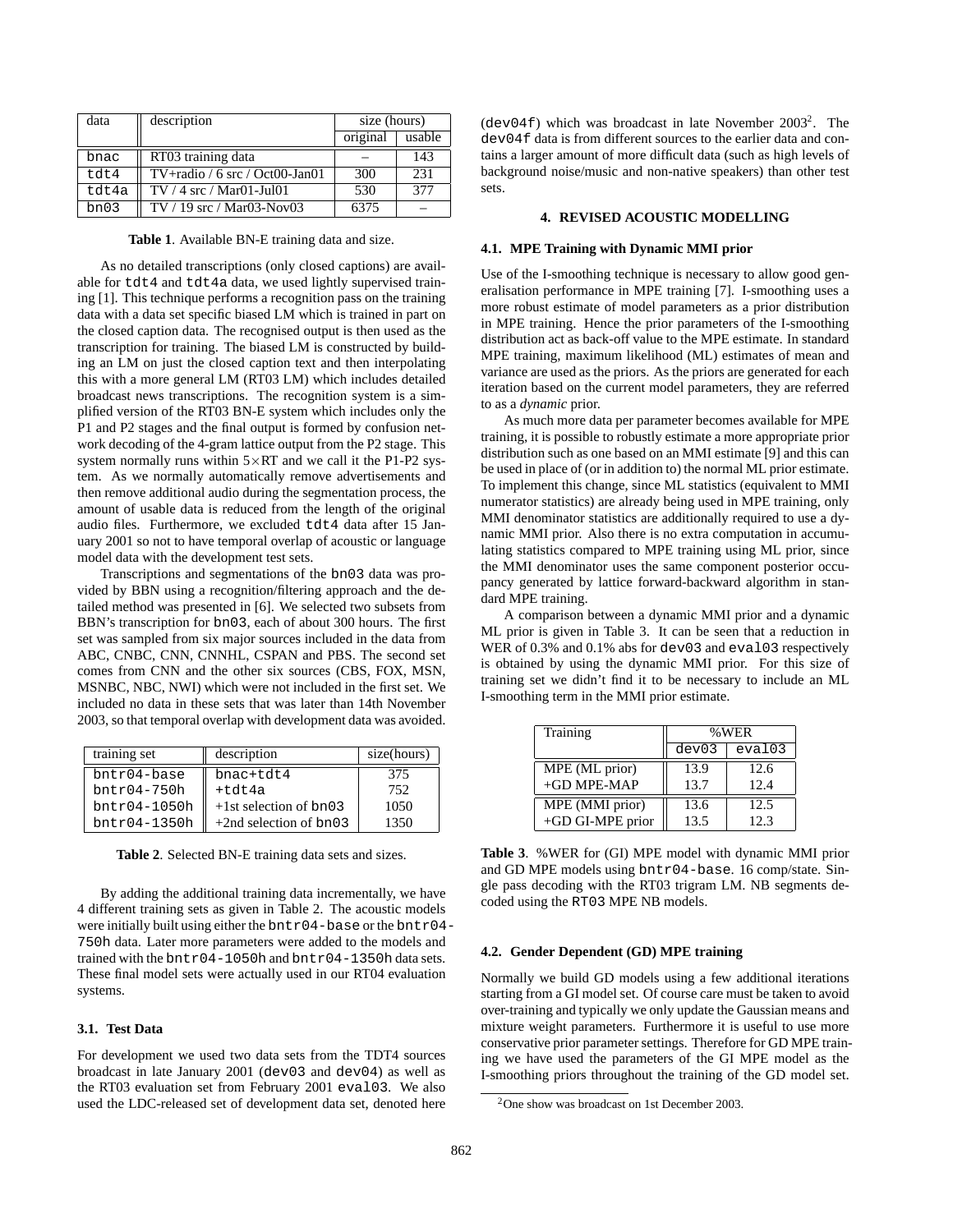| data   | description                                                         | size (hours) |        |
|--------|---------------------------------------------------------------------|--------------|--------|
|        |                                                                     | original     | usable |
| bnac   | RT03 training data                                                  |              | 143    |
| t.dt.4 | $TV + \text{radio} / 6 \text{ src} / \text{Oct} 00 - \text{Jan} 01$ | 300          | 231    |
| tdt4a  | $TV / 4$ src / Mar01-Jul01                                          | 530          | 377    |
| bn03   | $TV / 19$ src / Mar03-Nov03                                         | 6375         |        |

**Table 1**. Available BN-E training data and size.

As no detailed transcriptions (only closed captions) are available for tdt4 and tdt4a data, we used lightly supervised training [1]. This technique performs a recognition pass on the training data with a data set specific biased LM which is trained in part on the closed caption data. The recognised output is then used as the transcription for training. The biased LM is constructed by building an LM on just the closed caption text and then interpolating this with a more general LM (RT03 LM) which includes detailed broadcast news transcriptions. The recognition system is a simplified version of the RT03 BN-E system which includes only the P1 and P2 stages and the final output is formed by confusion network decoding of the 4-gram lattice output from the P2 stage. This system normally runs within  $5 \times RT$  and we call it the P1-P2 system. As we normally automatically remove advertisements and then remove additional audio during the segmentation process, the amount of usable data is reduced from the length of the original audio files. Furthermore, we excluded tdt4 data after 15 January 2001 so not to have temporal overlap of acoustic or language model data with the development test sets.

Transcriptions and segmentations of the bn03 data was provided by BBN using a recognition/filtering approach and the detailed method was presented in [6]. We selected two subsets from BBN's transcription for bn03, each of about 300 hours. The first set was sampled from six major sources included in the data from ABC, CNBC, CNN, CNNHL, CSPAN and PBS. The second set comes from CNN and the other six sources (CBS, FOX, MSN, MSNBC, NBC, NWI) which were not included in the first set. We included no data in these sets that was later than 14th November 2003, so that temporal overlap with development data was avoided.

| training set        | description               | size(hours) |
|---------------------|---------------------------|-------------|
| $b$ ntr $04$ -base  | bnac+tdt4                 | 375         |
| $b$ ntr $04 - 750h$ | $+tdt4a$                  | 752         |
| $b$ ntr $04-1050h$  | $+1$ st selection of bn03 | 1050        |
| $bntr04-1350h$      | $+2nd$ selection of bn03  | 1350        |

**Table 2**. Selected BN-E training data sets and sizes.

By adding the additional training data incrementally, we have 4 different training sets as given in Table 2. The acoustic models were initially built using either the bntr04-base or the bntr04- 750h data. Later more parameters were added to the models and trained with the bntr04-1050h and bntr04-1350h data sets. These final model sets were actually used in our RT04 evaluation systems.

## **3.1. Test Data**

For development we used two data sets from the TDT4 sources broadcast in late January 2001 (dev03 and dev04) as well as the RT03 evaluation set from February 2001 eval03. We also used the LDC-released set of development data set, denoted here

(dev04f) which was broadcast in late November  $2003^2$ . The dev04f data is from different sources to the earlier data and contains a larger amount of more difficult data (such as high levels of background noise/music and non-native speakers) than other test sets.

## **4. REVISED ACOUSTIC MODELLING**

#### **4.1. MPE Training with Dynamic MMI prior**

Use of the I-smoothing technique is necessary to allow good generalisation performance in MPE training [7]. I-smoothing uses a more robust estimate of model parameters as a prior distribution in MPE training. Hence the prior parameters of the I-smoothing distribution act as back-off value to the MPE estimate. In standard MPE training, maximum likelihood (ML) estimates of mean and variance are used as the priors. As the priors are generated for each iteration based on the current model parameters, they are referred to as a *dynamic* prior.

As much more data per parameter becomes available for MPE training, it is possible to robustly estimate a more appropriate prior distribution such as one based on an MMI estimate [9] and this can be used in place of (or in addition to) the normal ML prior estimate. To implement this change, since ML statistics (equivalent to MMI numerator statistics) are already being used in MPE training, only MMI denominator statistics are additionally required to use a dynamic MMI prior. Also there is no extra computation in accumulating statistics compared to MPE training using ML prior, since the MMI denominator uses the same component posterior occupancy generated by lattice forward-backward algorithm in standard MPE training.

A comparison between a dynamic MMI prior and a dynamic ML prior is given in Table 3. It can be seen that a reduction in WER of 0.3% and 0.1% abs for dev03 and eval03 respectively is obtained by using the dynamic MMI prior. For this size of training set we didn't find it to be necessary to include an ML I-smoothing term in the MMI prior estimate.

| Training         | %WER  |        |
|------------------|-------|--------|
|                  | dev03 | eval03 |
| MPE (ML prior)   | 13.9  | 12.6   |
| $+GD$ MPE-MAP    | 13.7  | 12.4   |
| MPE (MMI prior)  | 13.6  | 12.5   |
| +GD GI-MPE prior | 13.5  | 12.3   |

**Table 3**. %WER for (GI) MPE model with dynamic MMI prior and GD MPE models using bntr04-base. 16 comp/state. Single pass decoding with the RT03 trigram LM. NB segments decoded using the RT03 MPE NB models.

#### **4.2. Gender Dependent (GD) MPE training**

Normally we build GD models using a few additional iterations starting from a GI model set. Of course care must be taken to avoid over-training and typically we only update the Gaussian means and mixture weight parameters. Furthermore it is useful to use more conservative prior parameter settings. Therefore for GD MPE training we have used the parameters of the GI MPE model as the I-smoothing priors throughout the training of the GD model set.

<sup>2</sup>One show was broadcast on 1st December 2003.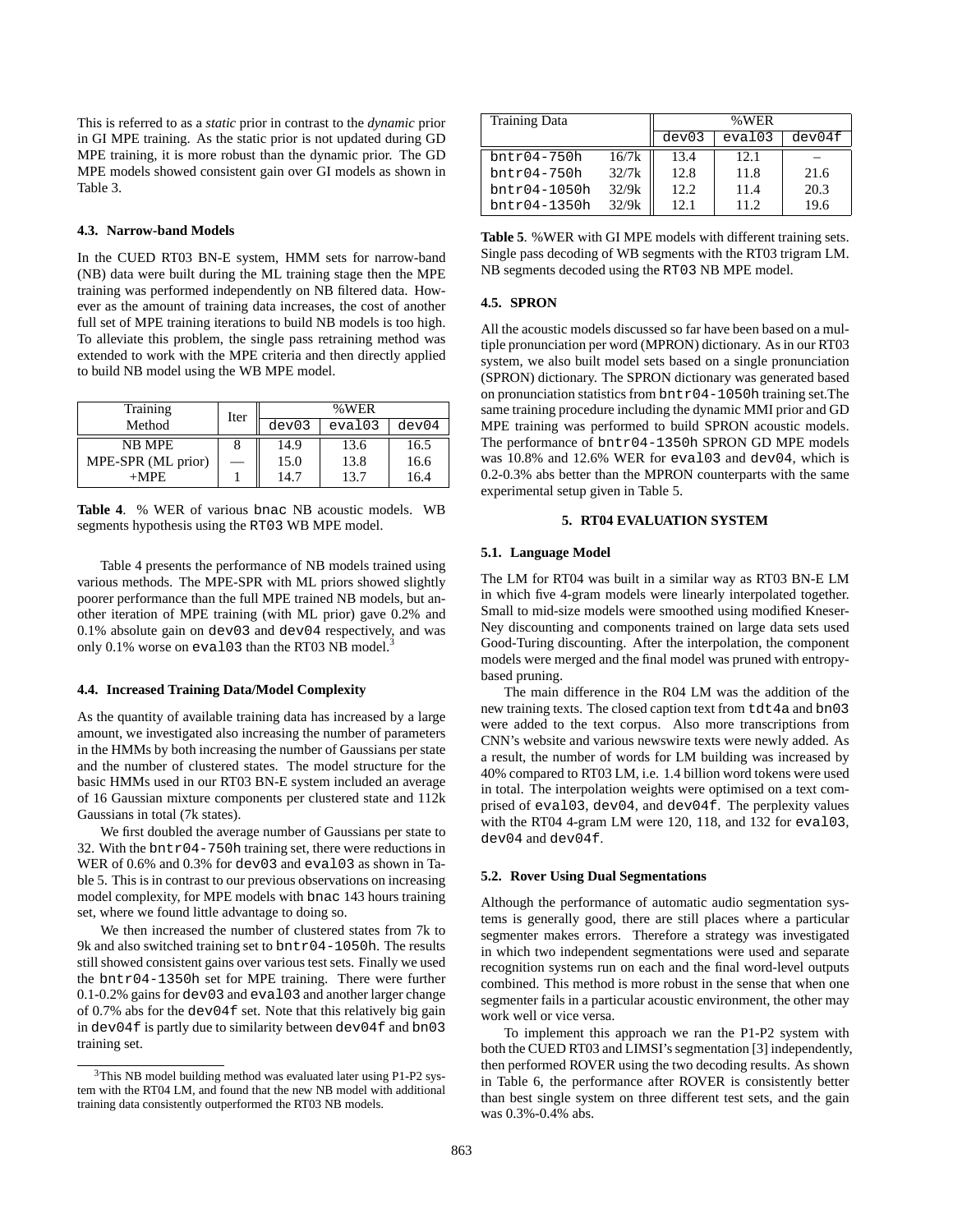This is referred to as a *static* prior in contrast to the *dynamic* prior in GI MPE training. As the static prior is not updated during GD MPE training, it is more robust than the dynamic prior. The GD MPE models showed consistent gain over GI models as shown in Table 3.

## **4.3. Narrow-band Models**

In the CUED RT03 BN-E system, HMM sets for narrow-band (NB) data were built during the ML training stage then the MPE training was performed independently on NB filtered data. However as the amount of training data increases, the cost of another full set of MPE training iterations to build NB models is too high. To alleviate this problem, the single pass retraining method was extended to work with the MPE criteria and then directly applied to build NB model using the WB MPE model.

| Training           |      | %WER  |        |       |
|--------------------|------|-------|--------|-------|
| Method             | Iter | dev03 | eval03 | dev04 |
| NB MPE             |      | 14.9  | 13.6   | 16.5  |
| MPE-SPR (ML prior) |      | 15.0  | 13.8   | 16.6  |
| $+MPE$             |      | 14.7  | 13.7   | 16.4  |

**Table 4**. % WER of various bnac NB acoustic models. WB segments hypothesis using the RT03 WB MPE model.

Table 4 presents the performance of NB models trained using various methods. The MPE-SPR with ML priors showed slightly poorer performance than the full MPE trained NB models, but another iteration of MPE training (with ML prior) gave 0.2% and 0.1% absolute gain on dev03 and dev04 respectively, and was only 0.1% worse on eval03 than the RT03 NB model.

## **4.4. Increased Training Data/Model Complexity**

As the quantity of available training data has increased by a large amount, we investigated also increasing the number of parameters in the HMMs by both increasing the number of Gaussians per state and the number of clustered states. The model structure for the basic HMMs used in our RT03 BN-E system included an average of 16 Gaussian mixture components per clustered state and 112k Gaussians in total (7k states).

We first doubled the average number of Gaussians per state to 32. With the bntr04-750h training set, there were reductions in WER of 0.6% and 0.3% for dev03 and eval03 as shown in Table 5. This is in contrast to our previous observations on increasing model complexity, for MPE models with bnac 143 hours training set, where we found little advantage to doing so.

We then increased the number of clustered states from 7k to 9k and also switched training set to bntr04-1050h. The results still showed consistent gains over various test sets. Finally we used the bntr04-1350h set for MPE training. There were further 0.1-0.2% gains for dev03 and eval03 and another larger change of 0.7% abs for the dev04f set. Note that this relatively big gain in dev04f is partly due to similarity between dev04f and bn03 training set.

| <b>Training Data</b> | %WER  |       |        |        |
|----------------------|-------|-------|--------|--------|
|                      |       | dev03 | eval03 | dev04f |
| $b$ ntr $04 - 750h$  | 16/7k | 13.4  | 12.1   |        |
| $b$ ntr $04 - 750h$  | 32/7k | 12.8  | 11.8   | 21.6   |
| $b$ ntr $04-1050h$   | 32/9k | 12.2. | 11.4   | 20.3   |
| $b$ ntr $04-1350h$   | 32/9k | 12.1  | 11.2   | 19.6   |

**Table 5**. %WER with GI MPE models with different training sets. Single pass decoding of WB segments with the RT03 trigram LM. NB segments decoded using the RT03 NB MPE model.

### **4.5. SPRON**

All the acoustic models discussed so far have been based on a multiple pronunciation per word (MPRON) dictionary. As in our RT03 system, we also built model sets based on a single pronunciation (SPRON) dictionary. The SPRON dictionary was generated based on pronunciation statistics from bntr04-1050h training set.The same training procedure including the dynamic MMI prior and GD MPE training was performed to build SPRON acoustic models. The performance of bntr04-1350h SPRON GD MPE models was 10.8% and 12.6% WER for eval03 and dev04, which is 0.2-0.3% abs better than the MPRON counterparts with the same experimental setup given in Table 5.

## **5. RT04 EVALUATION SYSTEM**

### **5.1. Language Model**

The LM for RT04 was built in a similar way as RT03 BN-E LM in which five 4-gram models were linearly interpolated together. Small to mid-size models were smoothed using modified Kneser-Ney discounting and components trained on large data sets used Good-Turing discounting. After the interpolation, the component models were merged and the final model was pruned with entropybased pruning.

The main difference in the R04 LM was the addition of the new training texts. The closed caption text from tdt4a and bn03 were added to the text corpus. Also more transcriptions from CNN's website and various newswire texts were newly added. As a result, the number of words for LM building was increased by 40% compared to RT03 LM, i.e. 1.4 billion word tokens were used in total. The interpolation weights were optimised on a text comprised of eval03, dev04, and dev04f. The perplexity values with the RT04 4-gram LM were 120, 118, and 132 for eval03, dev04 and dev04f.

### **5.2. Rover Using Dual Segmentations**

Although the performance of automatic audio segmentation systems is generally good, there are still places where a particular segmenter makes errors. Therefore a strategy was investigated in which two independent segmentations were used and separate recognition systems run on each and the final word-level outputs combined. This method is more robust in the sense that when one segmenter fails in a particular acoustic environment, the other may work well or vice versa.

To implement this approach we ran the P1-P2 system with both the CUED RT03 and LIMSI's segmentation [3] independently, then performed ROVER using the two decoding results. As shown in Table 6, the performance after ROVER is consistently better than best single system on three different test sets, and the gain was 0.3%-0.4% abs.

<sup>&</sup>lt;sup>3</sup>This NB model building method was evaluated later using P1-P2 system with the RT04 LM, and found that the new NB model with additional training data consistently outperformed the RT03 NB models.